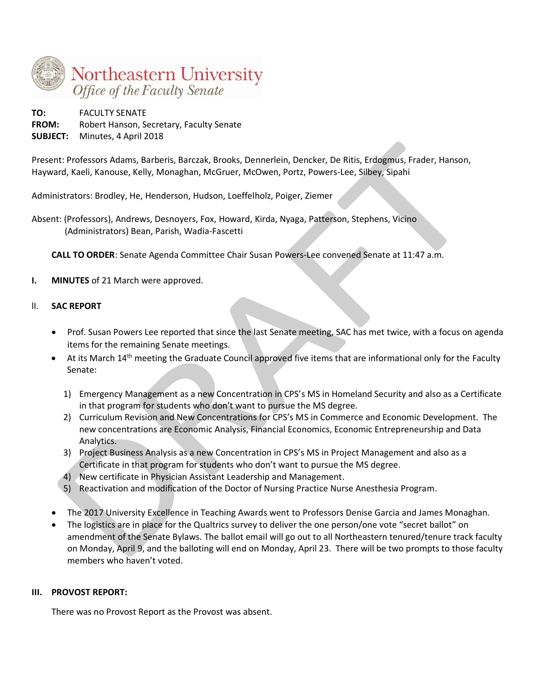

**TO:** FACULTY SENATE **FROM:** Robert Hanson, Secretary, Faculty Senate **SUBJECT:** Minutes, 4 April 2018

Present: Professors Adams, Barberis, Barczak, Brooks, Dennerlein, Dencker, De Ritis, Erdogmus, Frader, Hanson, Hayward, Kaeli, Kanouse, Kelly, Monaghan, McGruer, McOwen, Portz, Powers-Lee, Silbey, Sipahi

Administrators: Brodley, He, Henderson, Hudson, Loeffelholz, Poiger, Ziemer

Absent: (Professors), Andrews, Desnoyers, Fox, Howard, Kirda, Nyaga, Patterson, Stephens, Vicino (Administrators) Bean, Parish, Wadia-Fascetti

**CALL TO ORDER**: Senate Agenda Committee Chair Susan Powers-Lee convened Senate at 11:47 a.m.

**I. MINUTES** of 21 March were approved.

### lI. **SAC REPORT**

- Prof. Susan Powers Lee reported that since the last Senate meeting, SAC has met twice, with a focus on agenda items for the remaining Senate meetings.
- At its March 14<sup>th</sup> meeting the Graduate Council approved five items that are informational only for the Faculty Senate:
	- 1) Emergency Management as a new Concentration in CPS's MS in Homeland Security and also as a Certificate in that program for students who don't want to pursue the MS degree.
	- 2) Curriculum Revision and New Concentrations for CPS's MS in Commerce and Economic Development. The new concentrations are Economic Analysis, Financial Economics, Economic Entrepreneurship and Data Analytics.
	- 3) Project Business Analysis as a new Concentration in CPS's MS in Project Management and also as a Certificate in that program for students who don't want to pursue the MS degree.
	- 4) New certificate in Physician Assistant Leadership and Management.
	- 5) Reactivation and modification of the Doctor of Nursing Practice Nurse Anesthesia Program.
- The 2017 University Excellence in Teaching Awards went to Professors Denise Garcia and James Monaghan.
- The logistics are in place for the Qualtrics survey to deliver the one person/one vote "secret ballot" on amendment of the Senate Bylaws. The ballot email will go out to all Northeastern tenured/tenure track faculty on Monday, April 9, and the balloting will end on Monday, April 23. There will be two prompts to those faculty members who haven't voted.

### **III. PROVOST REPORT:**

There was no Provost Report as the Provost was absent.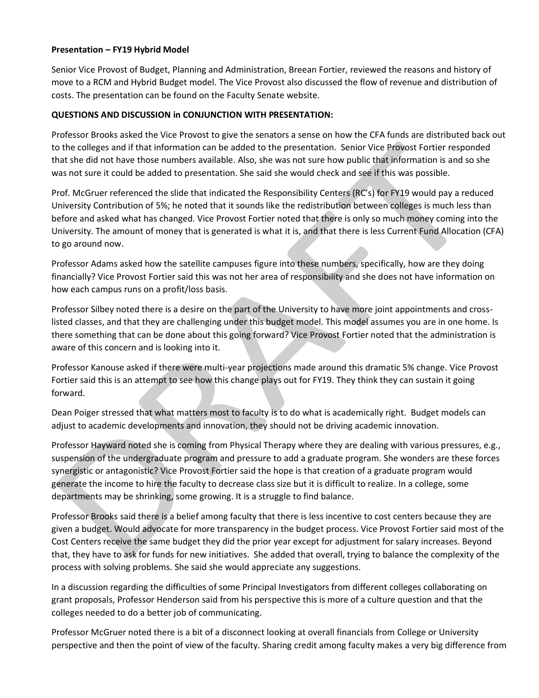#### **Presentation – FY19 Hybrid Model**

Senior Vice Provost of Budget, Planning and Administration, Breean Fortier, reviewed the reasons and history of move to a RCM and Hybrid Budget model. The Vice Provost also discussed the flow of revenue and distribution of costs. The presentation can be found on the Faculty Senate website.

### **QUESTIONS AND DISCUSSION in CONJUNCTION WITH PRESENTATION:**

Professor Brooks asked the Vice Provost to give the senators a sense on how the CFA funds are distributed back out to the colleges and if that information can be added to the presentation. Senior Vice Provost Fortier responded that she did not have those numbers available. Also, she was not sure how public that information is and so she was not sure it could be added to presentation. She said she would check and see if this was possible.

Prof. McGruer referenced the slide that indicated the Responsibility Centers (RC's) for FY19 would pay a reduced University Contribution of 5%; he noted that it sounds like the redistribution between colleges is much less than before and asked what has changed. Vice Provost Fortier noted that there is only so much money coming into the University. The amount of money that is generated is what it is, and that there is less Current Fund Allocation (CFA) to go around now.

Professor Adams asked how the satellite campuses figure into these numbers, specifically, how are they doing financially? Vice Provost Fortier said this was not her area of responsibility and she does not have information on how each campus runs on a profit/loss basis.

Professor Silbey noted there is a desire on the part of the University to have more joint appointments and crosslisted classes, and that they are challenging under this budget model. This model assumes you are in one home. Is there something that can be done about this going forward? Vice Provost Fortier noted that the administration is aware of this concern and is looking into it.

Professor Kanouse asked if there were multi-year projections made around this dramatic 5% change. Vice Provost Fortier said this is an attempt to see how this change plays out for FY19. They think they can sustain it going forward.

Dean Poiger stressed that what matters most to faculty is to do what is academically right. Budget models can adjust to academic developments and innovation, they should not be driving academic innovation.

Professor Hayward noted she is coming from Physical Therapy where they are dealing with various pressures, e.g., suspension of the undergraduate program and pressure to add a graduate program. She wonders are these forces synergistic or antagonistic? Vice Provost Fortier said the hope is that creation of a graduate program would generate the income to hire the faculty to decrease class size but it is difficult to realize. In a college, some departments may be shrinking, some growing. It is a struggle to find balance.

Professor Brooks said there is a belief among faculty that there is less incentive to cost centers because they are given a budget. Would advocate for more transparency in the budget process. Vice Provost Fortier said most of the Cost Centers receive the same budget they did the prior year except for adjustment for salary increases. Beyond that, they have to ask for funds for new initiatives. She added that overall, trying to balance the complexity of the process with solving problems. She said she would appreciate any suggestions.

In a discussion regarding the difficulties of some Principal Investigators from different colleges collaborating on grant proposals, Professor Henderson said from his perspective this is more of a culture question and that the colleges needed to do a better job of communicating.

Professor McGruer noted there is a bit of a disconnect looking at overall financials from College or University perspective and then the point of view of the faculty. Sharing credit among faculty makes a very big difference from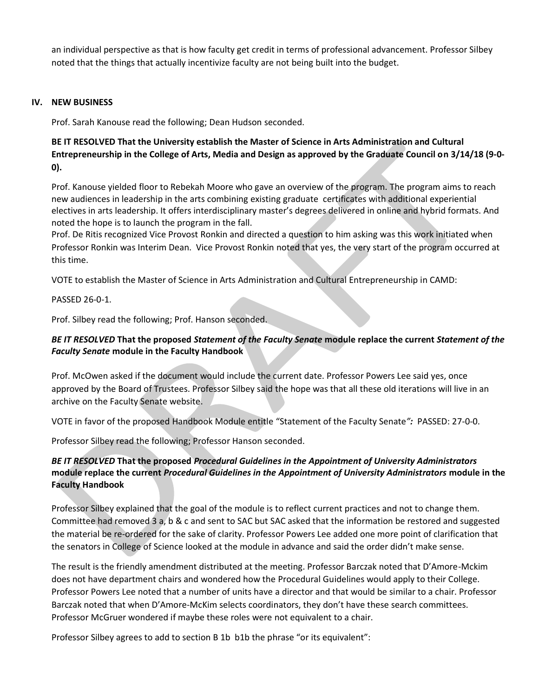an individual perspective as that is how faculty get credit in terms of professional advancement. Professor Silbey noted that the things that actually incentivize faculty are not being built into the budget.

### **IV. NEW BUSINESS**

Prof. Sarah Kanouse read the following; Dean Hudson seconded.

**BE IT RESOLVED That the University establish the Master of Science in Arts Administration and Cultural Entrepreneurship in the College of Arts, Media and Design as approved by the Graduate Council on 3/14/18 (9-0- 0).**

Prof. Kanouse yielded floor to Rebekah Moore who gave an overview of the program. The program aims to reach new audiences in leadership in the arts combining existing graduate certificates with additional experiential electives in arts leadership. It offers interdisciplinary master's degrees delivered in online and hybrid formats. And noted the hope is to launch the program in the fall.

Prof. De Ritis recognized Vice Provost Ronkin and directed a question to him asking was this work initiated when Professor Ronkin was Interim Dean. Vice Provost Ronkin noted that yes, the very start of the program occurred at this time.

VOTE to establish the Master of Science in Arts Administration and Cultural Entrepreneurship in CAMD:

PASSED 26-0-1.

Prof. Silbey read the following; Prof. Hanson seconded.

## *BE IT RESOLVED* **That the proposed** *Statement of the Faculty Senate* **module replace the current** *Statement of the Faculty Senate* **module in the Faculty Handbook**

Prof. McOwen asked if the document would include the current date. Professor Powers Lee said yes, once approved by the Board of Trustees. Professor Silbey said the hope was that all these old iterations will live in an archive on the Faculty Senate website.

VOTE in favor of the proposed Handbook Module entitle "Statement of the Faculty Senate*":* PASSED: 27-0-0.

Professor Silbey read the following; Professor Hanson seconded.

# *BE IT RESOLVED* **That the proposed** *Procedural Guidelines in the Appointment of University Administrators*  **module replace the current** *Procedural Guidelines in the Appointment of University Administrators* **module in the Faculty Handbook**

Professor Silbey explained that the goal of the module is to reflect current practices and not to change them. Committee had removed 3 a, b & c and sent to SAC but SAC asked that the information be restored and suggested the material be re-ordered for the sake of clarity. Professor Powers Lee added one more point of clarification that the senators in College of Science looked at the module in advance and said the order didn't make sense.

The result is the friendly amendment distributed at the meeting. Professor Barczak noted that D'Amore-Mckim does not have department chairs and wondered how the Procedural Guidelines would apply to their College. Professor Powers Lee noted that a number of units have a director and that would be similar to a chair. Professor Barczak noted that when D'Amore-McKim selects coordinators, they don't have these search committees. Professor McGruer wondered if maybe these roles were not equivalent to a chair.

Professor Silbey agrees to add to section B 1b b1b the phrase "or its equivalent":